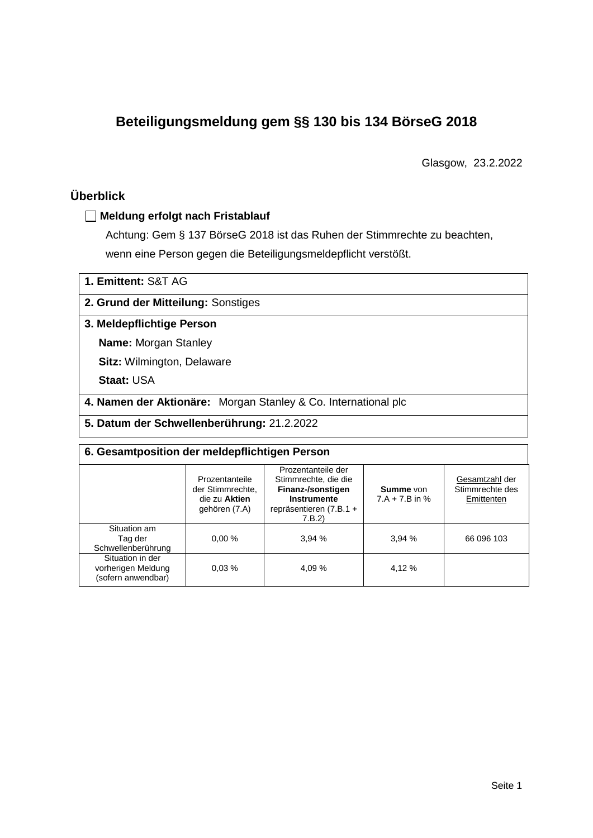# **Beteiligungsmeldung gem §§ 130 bis 134 BörseG 2018**

Glasgow, 23.2.2022

# **Überblick**

### **Meldung erfolgt nach Fristablauf**

Achtung: Gem § 137 BörseG 2018 ist das Ruhen der Stimmrechte zu beachten, wenn eine Person gegen die Beteiligungsmeldepflicht verstößt.

## **2. Grund der Mitteilung:** Sonstiges

#### **3. Meldepflichtige Person**

**Name:** Morgan Stanley

**Sitz:** Wilmington, Delaware

**Staat:** USA

**4. Namen der Aktionäre:** Morgan Stanley & Co. International plc

**5. Datum der Schwellenberührung:** 21.2.2022

| 6. Gesamtposition der meldepflichtigen Person                |                                                                      |                                                                                                                      |        |                                                 |  |  |
|--------------------------------------------------------------|----------------------------------------------------------------------|----------------------------------------------------------------------------------------------------------------------|--------|-------------------------------------------------|--|--|
|                                                              | Prozentanteile<br>der Stimmrechte.<br>die zu Aktien<br>gehören (7.A) | Prozentanteile der<br>Stimmrechte, die die<br>Finanz-/sonstigen<br>Instrumente<br>repräsentieren $(7.B.1 +$<br>7.B.2 |        | Gesamtzahl der<br>Stimmrechte des<br>Emittenten |  |  |
| Situation am<br>Tag der<br>Schwellenberührung                | 0.00%                                                                | 3.94%                                                                                                                | 3,94%  | 66 096 103                                      |  |  |
| Situation in der<br>vorherigen Meldung<br>(sofern anwendbar) | 0.03%                                                                | 4.09 %                                                                                                               | 4,12 % |                                                 |  |  |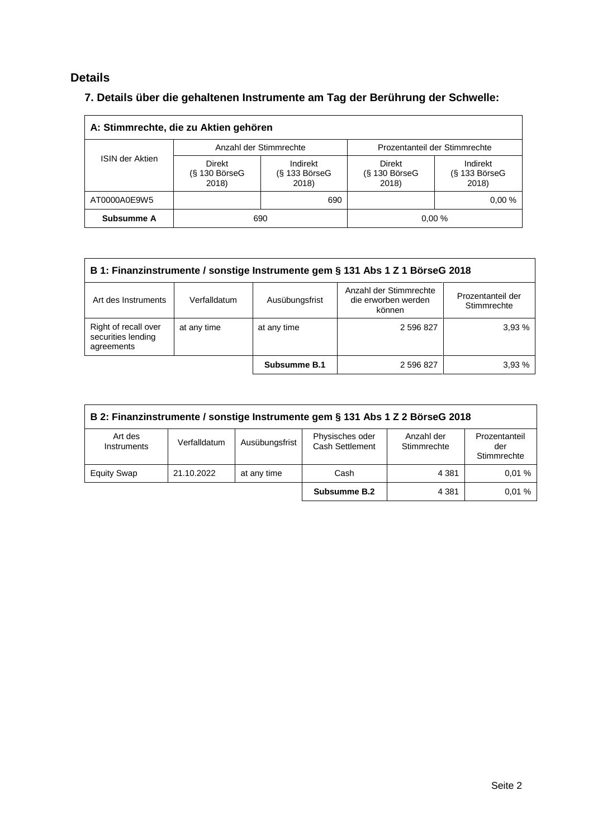## **Details**

# **7. Details über die gehaltenen Instrumente am Tag der Berührung der Schwelle:**

| A: Stimmrechte, die zu Aktien gehören |                                    |                                         |                                    |                                    |  |  |
|---------------------------------------|------------------------------------|-----------------------------------------|------------------------------------|------------------------------------|--|--|
|                                       |                                    | Anzahl der Stimmrechte                  | Prozentanteil der Stimmrechte      |                                    |  |  |
| <b>ISIN der Aktien</b>                | Direkt<br>$(S$ 130 BörseG<br>2018) | Indirekt<br>$(S$ 133 Börse $G$<br>2018) | Direkt<br>$(S$ 130 BörseG<br>2018) | Indirekt<br>(§ 133 BörseG<br>2018) |  |  |
| AT0000A0E9W5                          |                                    | 690                                     |                                    | 0.00%                              |  |  |
| Subsumme A                            |                                    | 690                                     |                                    | 0.00%                              |  |  |

| B 1: Finanzinstrumente / sonstige Instrumente gem § 131 Abs 1 Z 1 BörseG 2018                                                                        |             |              |           |        |  |
|------------------------------------------------------------------------------------------------------------------------------------------------------|-------------|--------------|-----------|--------|--|
| Anzahl der Stimmrechte<br>Prozentanteil der<br>Ausübungsfrist<br>Art des Instruments<br>die erworben werden<br>Verfalldatum<br>Stimmrechte<br>können |             |              |           |        |  |
| Right of recall over<br>securities lending<br>agreements                                                                                             | at any time | at any time  | 2 596 827 | 3.93%  |  |
|                                                                                                                                                      |             | Subsumme B.1 | 2 596 827 | 3.93 % |  |

| B 2: Finanzinstrumente / sonstige Instrumente gem § 131 Abs 1 Z 2 BörseG 2018                                                                                      |            |             |              |         |       |  |
|--------------------------------------------------------------------------------------------------------------------------------------------------------------------|------------|-------------|--------------|---------|-------|--|
| Physisches oder<br>Anzahl der<br>Prozentanteil<br>Art des<br>Ausübungsfrist<br>Verfalldatum<br>Cash Settlement<br>Stimmrechte<br>Instruments<br>der<br>Stimmrechte |            |             |              |         |       |  |
| <b>Equity Swap</b>                                                                                                                                                 | 21.10.2022 | at any time | Cash         | 4 3 8 1 | 0.01% |  |
|                                                                                                                                                                    |            |             | Subsumme B.2 | 4 3 8 1 | 0.01% |  |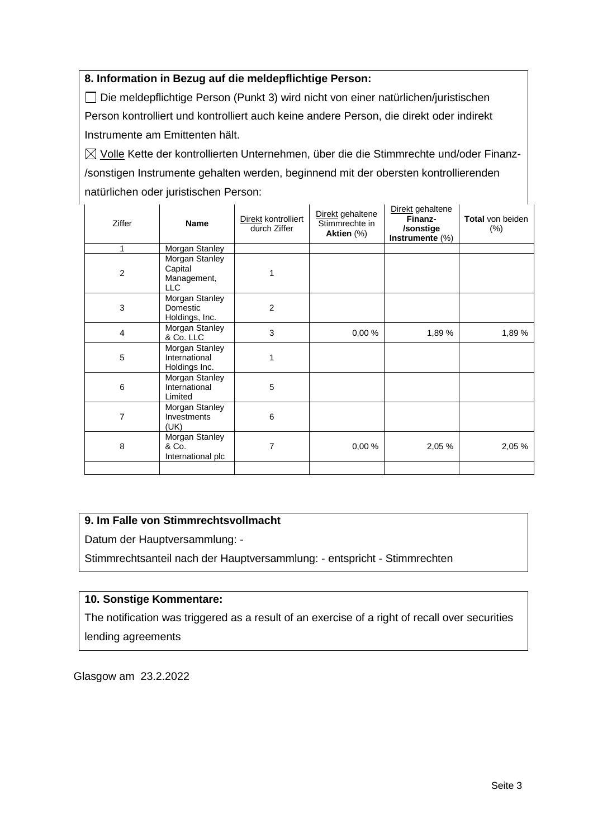### **8. Information in Bezug auf die meldepflichtige Person:**

Die meldepflichtige Person (Punkt 3) wird nicht von einer natürlichen/juristischen Person kontrolliert und kontrolliert auch keine andere Person, die direkt oder indirekt Instrumente am Emittenten hält.

 $\boxtimes$  Volle Kette der kontrollierten Unternehmen, über die die Stimmrechte und/oder Finanz-/sonstigen Instrumente gehalten werden, beginnend mit der obersten kontrollierenden natürlichen oder juristischen Person:

| Ziffer         | <b>Name</b>                                            | Direkt kontrolliert<br>durch Ziffer | Direkt gehaltene<br>Stimmrechte in<br>Aktien (%) | Direkt gehaltene<br>Finanz-<br>/sonstige<br>Instrumente (%) | <b>Total</b> von beiden<br>$(\%)$ |
|----------------|--------------------------------------------------------|-------------------------------------|--------------------------------------------------|-------------------------------------------------------------|-----------------------------------|
| 1              | Morgan Stanley                                         |                                     |                                                  |                                                             |                                   |
| $\overline{c}$ | Morgan Stanley<br>Capital<br>Management,<br><b>LLC</b> |                                     |                                                  |                                                             |                                   |
| 3              | Morgan Stanley<br>Domestic<br>Holdings, Inc.           | $\overline{2}$                      |                                                  |                                                             |                                   |
| $\overline{4}$ | Morgan Stanley<br>& Co. LLC                            | 3                                   | 0,00%                                            | 1,89 %                                                      | 1,89%                             |
| 5              | Morgan Stanley<br>International<br>Holdings Inc.       | 1                                   |                                                  |                                                             |                                   |
| 6              | Morgan Stanley<br>International<br>Limited             | 5                                   |                                                  |                                                             |                                   |
| $\overline{7}$ | Morgan Stanley<br>Investments<br>(UK)                  | 6                                   |                                                  |                                                             |                                   |
| 8              | Morgan Stanley<br>& Co.<br>International plc           | 7                                   | 0,00%                                            | 2,05 %                                                      | 2,05 %                            |
|                |                                                        |                                     |                                                  |                                                             |                                   |

## **9. Im Falle von Stimmrechtsvollmacht**

Datum der Hauptversammlung: -

Stimmrechtsanteil nach der Hauptversammlung: - entspricht - Stimmrechten

#### **10. Sonstige Kommentare:**

The notification was triggered as a result of an exercise of a right of recall over securities lending agreements

Glasgow am 23.2.2022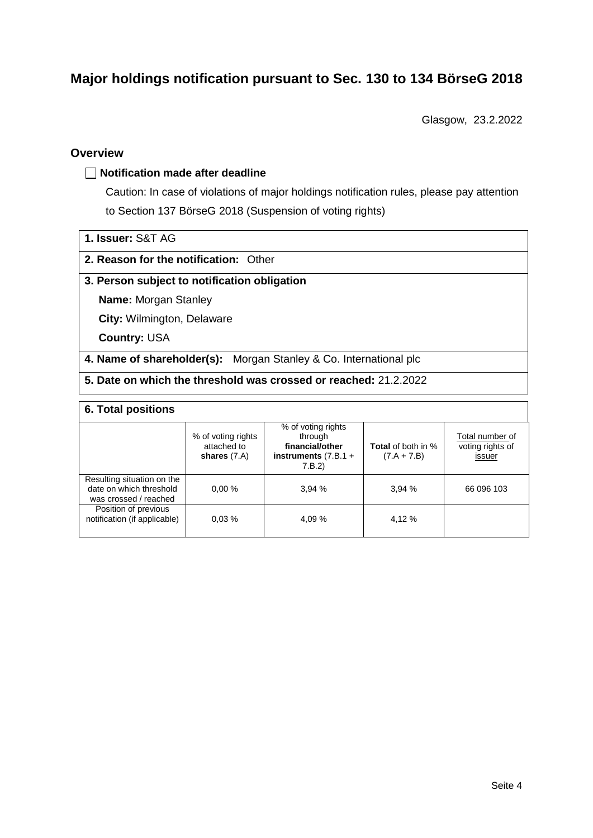# **Major holdings notification pursuant to Sec. 130 to 134 BörseG 2018**

Glasgow, 23.2.2022

### **Overview**

#### **Notification made after deadline**

Caution: In case of violations of major holdings notification rules, please pay attention to Section 137 BörseG 2018 (Suspension of voting rights)

| 1. Issuer: S&T AG |  |
|-------------------|--|
|                   |  |

#### **2. Reason for the notification:** Other

#### **3. Person subject to notification obligation**

**Name:** Morgan Stanley

**City:** Wilmington, Delaware

**Country:** USA

**4. Name of shareholder(s):** Morgan Stanley & Co. International plc

**5. Date on which the threshold was crossed or reached:** 21.2.2022

#### **6. Total positions**

|                                                                                | % of voting rights<br>attached to<br>shares $(7.A)$ | % of voting rights<br>through<br>financial/other<br>instruments $(7.B.1 +$<br>7.B.2 | <b>Total</b> of both in %<br>$(7.A + 7.B)$ | Total number of<br>voting rights of<br>issuer |
|--------------------------------------------------------------------------------|-----------------------------------------------------|-------------------------------------------------------------------------------------|--------------------------------------------|-----------------------------------------------|
| Resulting situation on the<br>date on which threshold<br>was crossed / reached | 0.00%                                               | 3.94%                                                                               | 3,94%                                      | 66 096 103                                    |
| Position of previous<br>notification (if applicable)                           | 0.03%                                               | 4.09%                                                                               | 4,12 %                                     |                                               |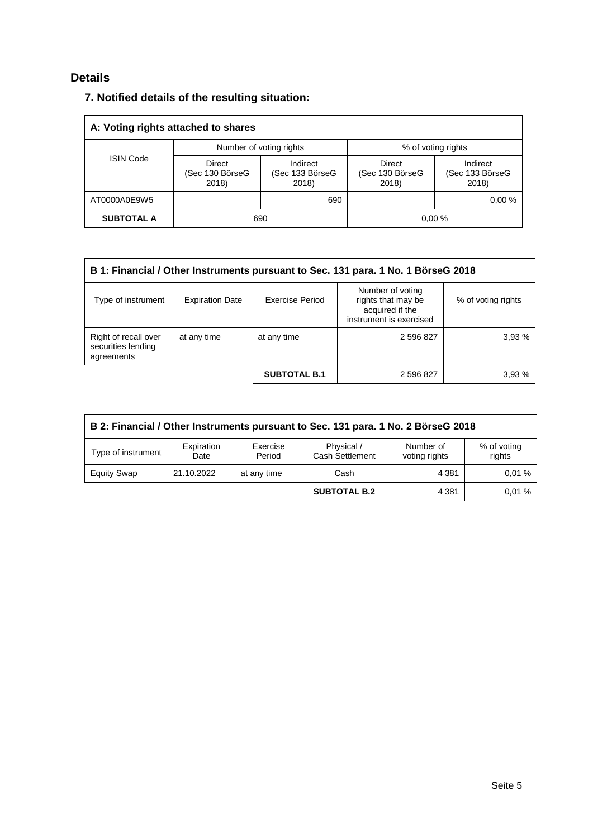# **Details**

## **7. Notified details of the resulting situation:**

| A: Voting rights attached to shares |                                           |                                      |                                           |                                      |  |  |
|-------------------------------------|-------------------------------------------|--------------------------------------|-------------------------------------------|--------------------------------------|--|--|
|                                     |                                           | Number of voting rights              | % of voting rights                        |                                      |  |  |
| <b>ISIN Code</b>                    | <b>Direct</b><br>(Sec 130 BörseG<br>2018) | Indirect<br>(Sec 133 BörseG<br>2018) | <b>Direct</b><br>(Sec 130 BörseG<br>2018) | Indirect<br>(Sec 133 BörseG<br>2018) |  |  |
| AT0000A0E9W5                        |                                           | 690                                  |                                           | 0.00%                                |  |  |
| <b>SUBTOTAL A</b>                   |                                           | 690                                  |                                           | 0.00%                                |  |  |

| B 1: Financial / Other Instruments pursuant to Sec. 131 para. 1 No. 1 BörseG 2018 |                                                                                                                                                         |                     |           |       |  |  |
|-----------------------------------------------------------------------------------|---------------------------------------------------------------------------------------------------------------------------------------------------------|---------------------|-----------|-------|--|--|
| Type of instrument                                                                | Number of voting<br>rights that may be<br>Exercise Period<br><b>Expiration Date</b><br>% of voting rights<br>acquired if the<br>instrument is exercised |                     |           |       |  |  |
| Right of recall over<br>securities lending<br>agreements                          | at any time                                                                                                                                             | at any time         | 2 596 827 | 3.93% |  |  |
|                                                                                   |                                                                                                                                                         | <b>SUBTOTAL B.1</b> | 2 596 827 | 3.93% |  |  |

| B 2: Financial / Other Instruments pursuant to Sec. 131 para. 1 No. 2 BörseG 2018                                                                      |            |             |                     |         |       |  |  |
|--------------------------------------------------------------------------------------------------------------------------------------------------------|------------|-------------|---------------------|---------|-------|--|--|
| Physical /<br>% of voting<br>Expiration<br>Exercise<br>Number of<br>Type of instrument<br>Cash Settlement<br>rights<br>voting rights<br>Period<br>Date |            |             |                     |         |       |  |  |
| <b>Equity Swap</b>                                                                                                                                     | 21.10.2022 | at any time | Cash                | 4 3 8 1 | 0.01% |  |  |
|                                                                                                                                                        |            |             | <b>SUBTOTAL B.2</b> | 4 3 8 1 | 0.01% |  |  |